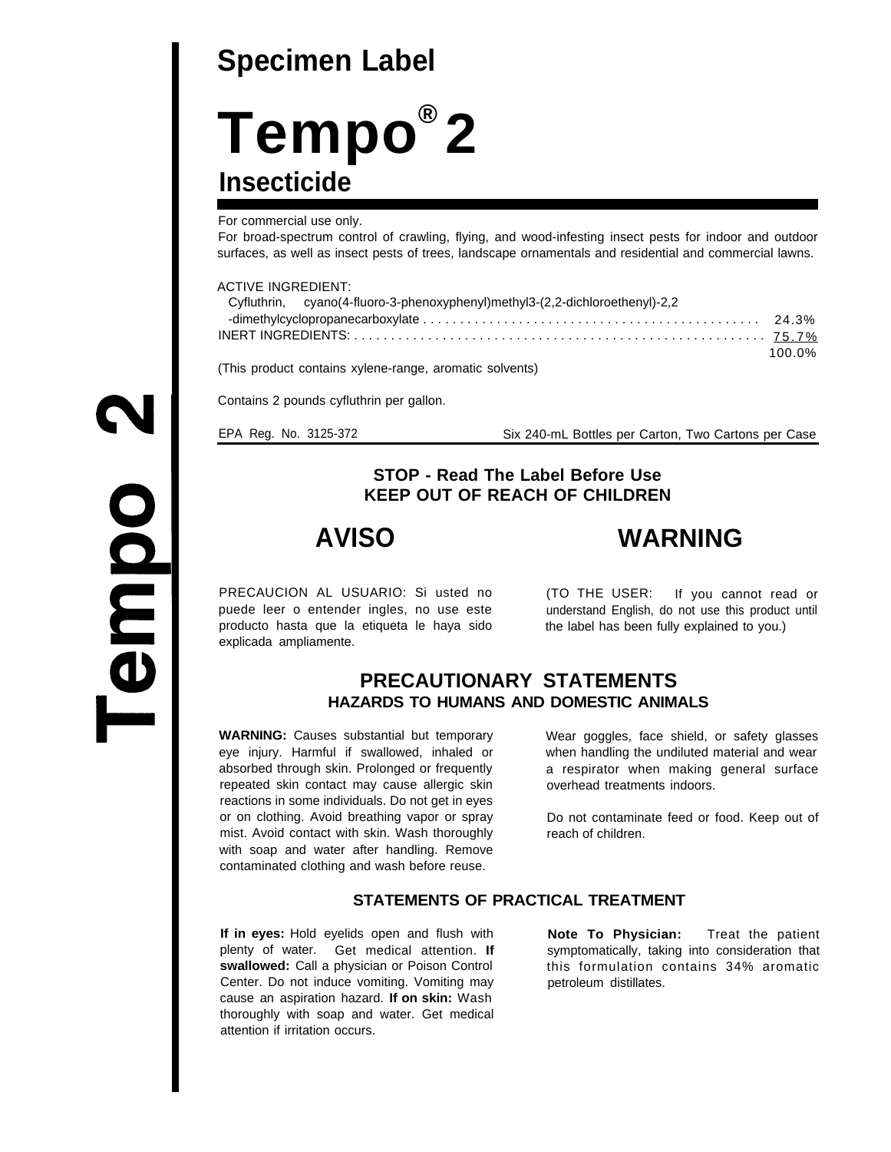# **Specimen Label**

# **Tempo ® 2 Insecticide**

For commercial use only.

For broad-spectrum control of crawling, flying, and wood-infesting insect pests for indoor and outdoor surfaces, as well as insect pests of trees, landscape ornamentals and residential and commercial lawns.

#### ACTIVE INGREDIENT:

| Cyfluthrin, cyano(4-fluoro-3-phenoxyphenyl)methyl3-(2,2-dichloroethenyl)-2,2 |        |
|------------------------------------------------------------------------------|--------|
|                                                                              |        |
|                                                                              |        |
|                                                                              | 100.0% |

(This product contains xylene-range, aromatic solvents)

Contains 2 pounds cyfluthrin per gallon.

EPA Reg. No. 3125-372 Six 240-mL Bottles per Carton, Two Cartons per Case

## **STOP - Read The Label Before Use KEEP OUT OF REACH OF CHILDREN**

**AVISO WARNING**

PRECAUCION AL USUARIO: Si usted no puede leer o entender ingles, no use este producto hasta que la etiqueta le haya sido explicada ampliamente.

(TO THE USER: If you cannot read or understand English, do not use this product until the label has been fully explained to you.)

# **PRECAUTIONARY STATEMENTS HAZARDS TO HUMANS AND DOMESTIC ANIMALS**

**WARNING:** Causes substantial but temporary eye injury. Harmful if swallowed, inhaled or absorbed through skin. Prolonged or frequently repeated skin contact may cause allergic skin reactions in some individuals. Do not get in eyes or on clothing. Avoid breathing vapor or spray mist. Avoid contact with skin. Wash thoroughly with soap and water after handling. Remove contaminated clothing and wash before reuse.

Wear goggles, face shield, or safety glasses when handling the undiluted material and wear a respirator when making general surface overhead treatments indoors.

Do not contaminate feed or food. Keep out of reach of children.

### **STATEMENTS OF PRACTICAL TREATMENT**

**If in eyes:** Hold eyelids open and flush with plenty of water. Get medical attention. **If swallowed:** Call a physician or Poison Control Center. Do not induce vomiting. Vomiting may cause an aspiration hazard. **If on skin:** Wash thoroughly with soap and water. Get medical attention if irritation occurs.

**Note To Physician:** Treat the patient symptomatically, taking into consideration that this formulation contains 34% aromatic petroleum distillates.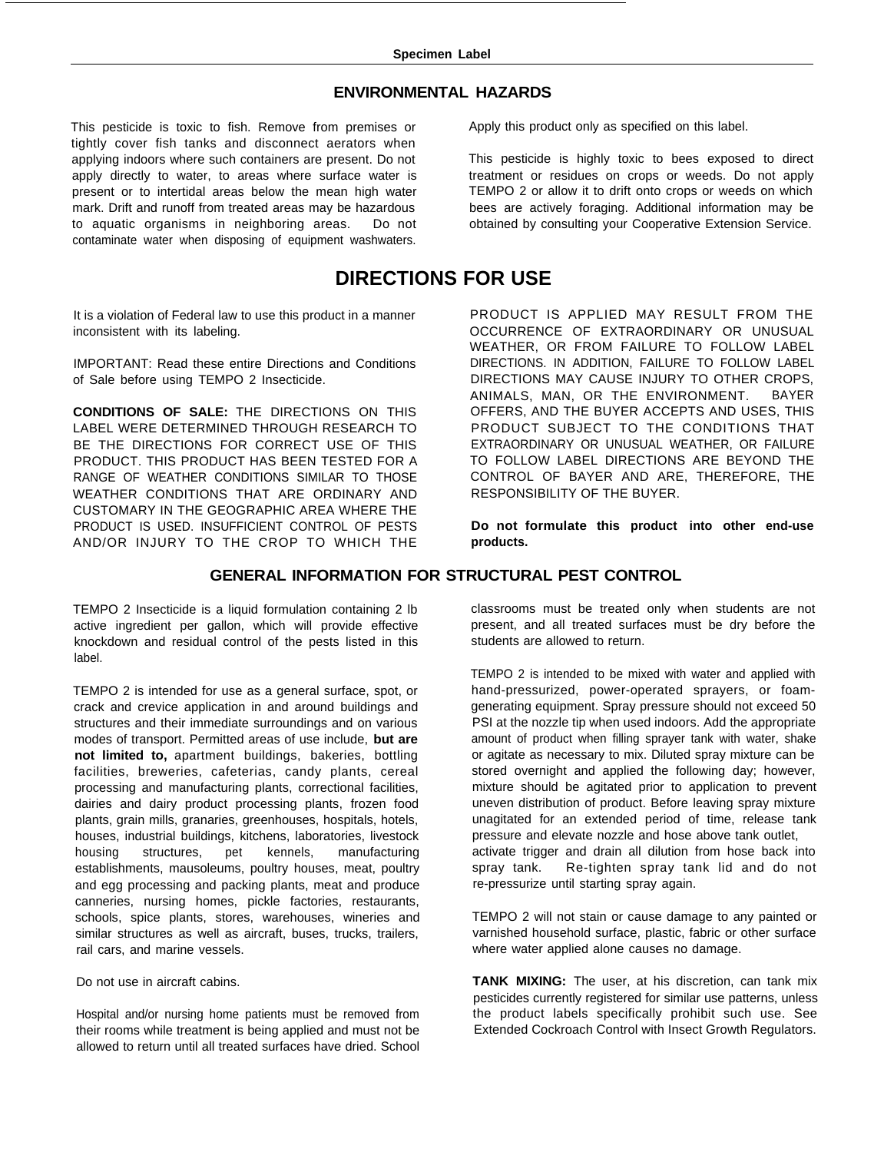#### **ENVIRONMENTAL HAZARDS**

This pesticide is toxic to fish. Remove from premises or tightly cover fish tanks and disconnect aerators when applying indoors where such containers are present. Do not apply directly to water, to areas where surface water is present or to intertidal areas below the mean high water mark. Drift and runoff from treated areas may be hazardous to aquatic organisms in neighboring areas. Do not contaminate water when disposing of equipment washwaters.

It is a violation of Federal law to use this product in a manner inconsistent with its labeling.

IMPORTANT: Read these entire Directions and Conditions of Sale before using TEMPO 2 Insecticide.

**CONDITIONS OF SALE:** THE DIRECTIONS ON THIS LABEL WERE DETERMINED THROUGH RESEARCH TO BE THE DIRECTIONS FOR CORRECT USE OF THIS PRODUCT. THIS PRODUCT HAS BEEN TESTED FOR A RANGE OF WEATHER CONDITIONS SIMILAR TO THOSE WEATHER CONDITIONS THAT ARE ORDINARY AND CUSTOMARY IN THE GEOGRAPHIC AREA WHERE THE PRODUCT IS USED. INSUFFICIENT CONTROL OF PESTS AND/OR INJURY TO THE CROP TO WHICH THE Apply this product only as specified on this label.

This pesticide is highly toxic to bees exposed to direct treatment or residues on crops or weeds. Do not apply TEMPO 2 or allow it to drift onto crops or weeds on which bees are actively foraging. Additional information may be obtained by consulting your Cooperative Extension Service.

# **DIRECTIONS FOR USE**

PRODUCT IS APPLIED MAY RESULT FROM THE OCCURRENCE OF EXTRAORDINARY OR UNUSUAL WEATHER, OR FROM FAILURE TO FOLLOW LABEL DIRECTIONS. IN ADDITION, FAILURE TO FOLLOW LABEL DIRECTIONS MAY CAUSE INJURY TO OTHER CROPS, ANIMALS, MAN, OR THE ENVIRONMENT. BAYER OFFERS, AND THE BUYER ACCEPTS AND USES, THIS PRODUCT SUBJECT TO THE CONDITIONS THAT EXTRAORDINARY OR UNUSUAL WEATHER, OR FAILURE TO FOLLOW LABEL DIRECTIONS ARE BEYOND THE CONTROL OF BAYER AND ARE, THEREFORE, THE RESPONSIBILITY OF THE BUYER.

**Do not formulate this product into other end-use products.**

#### **GENERAL INFORMATION FOR STRUCTURAL PEST CONTROL**

TEMPO 2 Insecticide is a liquid formulation containing 2 lb active ingredient per gallon, which will provide effective knockdown and residual control of the pests listed in this label.

TEMPO 2 is intended for use as a general surface, spot, or crack and crevice application in and around buildings and structures and their immediate surroundings and on various modes of transport. Permitted areas of use include, **but are not limited to,** apartment buildings, bakeries, bottling facilities, breweries, cafeterias, candy plants, cereal processing and manufacturing plants, correctional facilities, dairies and dairy product processing plants, frozen food plants, grain mills, granaries, greenhouses, hospitals, hotels, houses, industrial buildings, kitchens, laboratories, livestock housing structures, pet kennels, manufacturing establishments, mausoleums, poultry houses, meat, poultry and egg processing and packing plants, meat and produce canneries, nursing homes, pickle factories, restaurants, schools, spice plants, stores, warehouses, wineries and similar structures as well as aircraft, buses, trucks, trailers, rail cars, and marine vessels.

Do not use in aircraft cabins.

Hospital and/or nursing home patients must be removed from their rooms while treatment is being applied and must not be allowed to return until all treated surfaces have dried. School classrooms must be treated only when students are not present, and all treated surfaces must be dry before the students are allowed to return.

TEMPO 2 is intended to be mixed with water and applied with hand-pressurized, power-operated sprayers, or foamgenerating equipment. Spray pressure should not exceed 50 PSI at the nozzle tip when used indoors. Add the appropriate amount of product when filling sprayer tank with water, shake or agitate as necessary to mix. Diluted spray mixture can be stored overnight and applied the following day; however, mixture should be agitated prior to application to prevent uneven distribution of product. Before leaving spray mixture unagitated for an extended period of time, release tank pressure and elevate nozzle and hose above tank outlet, activate trigger and drain all dilution from hose back into spray tank. Re-tighten spray tank lid and do not re-pressurize until starting spray again.

TEMPO 2 will not stain or cause damage to any painted or varnished household surface, plastic, fabric or other surface where water applied alone causes no damage.

**TANK MIXING:** The user, at his discretion, can tank mix pesticides currently registered for similar use patterns, unless the product labels specifically prohibit such use. See Extended Cockroach Control with Insect Growth Regulators.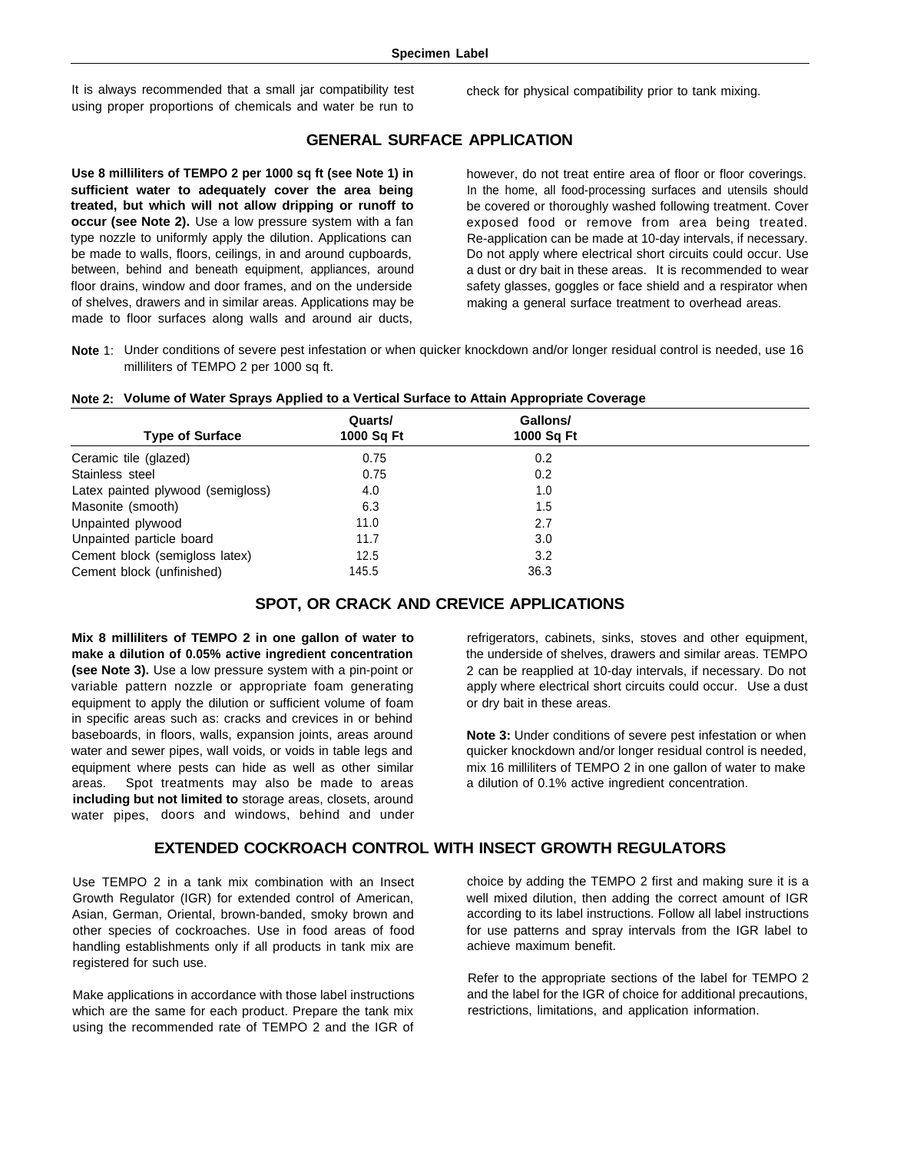It is always recommended that a small jar compatibility test using proper proportions of chemicals and water be run to check for physical compatibility prior to tank mixing.

#### **GENERAL SURFACE APPLICATION**

**Use 8 milliliters of TEMPO 2 per 1000 sq ft (see Note 1) in sufficient water to adequately cover the area being treated, but which will not allow dripping or runoff to occur (see Note 2).** Use a low pressure system with a fan type nozzle to uniformly apply the dilution. Applications can be made to walls, floors, ceilings, in and around cupboards, between, behind and beneath equipment, appliances, around floor drains, window and door frames, and on the underside of shelves, drawers and in similar areas. Applications may be made to floor surfaces along walls and around air ducts,

however, do not treat entire area of floor or floor coverings. In the home, all food-processing surfaces and utensils should be covered or thoroughly washed following treatment. Cover exposed food or remove from area being treated. Re-application can be made at 10-day intervals, if necessary. Do not apply where electrical short circuits could occur. Use a dust or dry bait in these areas. It is recommended to wear safety glasses, goggles or face shield and a respirator when making a general surface treatment to overhead areas.

**Note** 1: Under conditions of severe pest infestation or when quicker knockdown and/or longer residual control is needed, use 16 milliliters of TEMPO 2 per 1000 sq ft.

| Note 2: Volume of Water Sprays Applied to a Vertical Surface to Attain Appropriate Coverage |  |  |
|---------------------------------------------------------------------------------------------|--|--|
|                                                                                             |  |  |

| <b>Type of Surface</b>            | Quarts/<br>1000 Sq Ft | Gallons/<br>1000 Sq Ft |  |
|-----------------------------------|-----------------------|------------------------|--|
| Ceramic tile (glazed)             | 0.75                  | 0.2                    |  |
| Stainless steel                   | 0.75                  | 0.2                    |  |
| Latex painted plywood (semigloss) | 4.0                   | 1.0                    |  |
| Masonite (smooth)                 | 6.3                   | 1.5                    |  |
| Unpainted plywood                 | 11.0                  | 2.7                    |  |
| Unpainted particle board          | 11.7                  | 3.0                    |  |
| Cement block (semigloss latex)    | 12.5                  | 3.2                    |  |
| Cement block (unfinished)         | 145.5                 | 36.3                   |  |

#### **SPOT, OR CRACK AND CREVICE APPLICATIONS**

**Mix 8 milliliters of TEMPO 2 in one gallon of water to make a dilution of 0.05% active ingredient concentration (see Note 3).** Use a low pressure system with a pin-point or variable pattern nozzle or appropriate foam generating equipment to apply the dilution or sufficient volume of foam in specific areas such as: cracks and crevices in or behind baseboards, in floors, walls, expansion joints, areas around water and sewer pipes, wall voids, or voids in table legs and equipment where pests can hide as well as other similar areas. Spot treatments may also be made to areas **including but not limited to** storage areas, closets, around water pipes, doors and windows, behind and under refrigerators, cabinets, sinks, stoves and other equipment, the underside of shelves, drawers and similar areas. TEMPO 2 can be reapplied at 10-day intervals, if necessary. Do not apply where electrical short circuits could occur. Use a dust or dry bait in these areas.

**Note 3:** Under conditions of severe pest infestation or when quicker knockdown and/or longer residual control is needed, mix 16 milliliters of TEMPO 2 in one gallon of water to make a dilution of 0.1% active ingredient concentration.

#### **EXTENDED COCKROACH CONTROL WITH INSECT GROWTH REGULATORS**

Use TEMPO 2 in a tank mix combination with an Insect Growth Regulator (IGR) for extended control of American, Asian, German, Oriental, brown-banded, smoky brown and other species of cockroaches. Use in food areas of food handling establishments only if all products in tank mix are registered for such use.

Make applications in accordance with those label instructions which are the same for each product. Prepare the tank mix using the recommended rate of TEMPO 2 and the IGR of choice by adding the TEMPO 2 first and making sure it is a well mixed dilution, then adding the correct amount of IGR according to its label instructions. Follow all label instructions for use patterns and spray intervals from the IGR label to achieve maximum benefit.

Refer to the appropriate sections of the label for TEMPO 2 and the label for the IGR of choice for additional precautions, restrictions, limitations, and application information.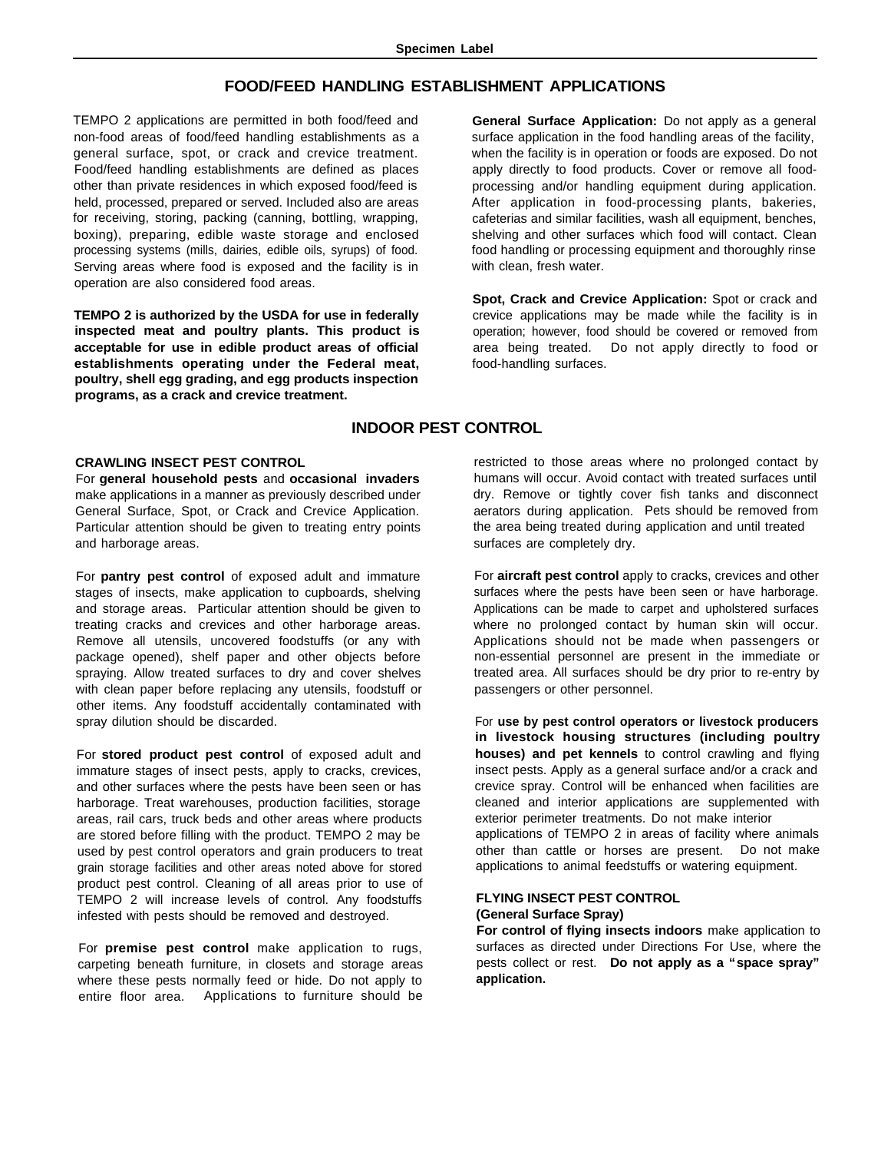#### **FOOD/FEED HANDLING ESTABLISHMENT APPLICATIONS**

TEMPO 2 applications are permitted in both food/feed and non-food areas of food/feed handling establishments as a general surface, spot, or crack and crevice treatment. Food/feed handling establishments are defined as places other than private residences in which exposed food/feed is held, processed, prepared or served. Included also are areas for receiving, storing, packing (canning, bottling, wrapping, boxing), preparing, edible waste storage and enclosed processing systems (mills, dairies, edible oils, syrups) of food. Serving areas where food is exposed and the facility is in operation are also considered food areas.

**TEMPO 2 is authorized by the USDA for use in federally inspected meat and poultry plants. This product is acceptable for use in edible product areas of official establishments operating under the Federal meat, poultry, shell egg grading, and egg products inspection programs, as a crack and crevice treatment.**

**General Surface Application:** Do not apply as a general surface application in the food handling areas of the facility, when the facility is in operation or foods are exposed. Do not apply directly to food products. Cover or remove all foodprocessing and/or handling equipment during application. After application in food-processing plants, bakeries, cafeterias and similar facilities, wash all equipment, benches, shelving and other surfaces which food will contact. Clean food handling or processing equipment and thoroughly rinse with clean, fresh water.

**Spot, Crack and Crevice Application:** Spot or crack and crevice applications may be made while the facility is in operation; however, food should be covered or removed from area being treated. Do not apply directly to food or food-handling surfaces.

#### **INDOOR PEST CONTROL**

#### **CRAWLING INSECT PEST CONTROL**

For **general household pests** and **occasional invaders** make applications in a manner as previously described under General Surface, Spot, or Crack and Crevice Application. Particular attention should be given to treating entry points and harborage areas.

For **pantry pest control** of exposed adult and immature stages of insects, make application to cupboards, shelving and storage areas. Particular attention should be given to treating cracks and crevices and other harborage areas. Remove all utensils, uncovered foodstuffs (or any with package opened), shelf paper and other objects before spraying. Allow treated surfaces to dry and cover shelves with clean paper before replacing any utensils, foodstuff or other items. Any foodstuff accidentally contaminated with spray dilution should be discarded.

For **stored product pest control** of exposed adult and immature stages of insect pests, apply to cracks, crevices, and other surfaces where the pests have been seen or has harborage. Treat warehouses, production facilities, storage areas, rail cars, truck beds and other areas where products are stored before filling with the product. TEMPO 2 may be used by pest control operators and grain producers to treat grain storage facilities and other areas noted above for stored product pest control. Cleaning of all areas prior to use of TEMPO 2 will increase levels of control. Any foodstuffs infested with pests should be removed and destroyed.

For **premise pest control** make application to rugs, carpeting beneath furniture, in closets and storage areas where these pests normally feed or hide. Do not apply to entire floor area. Applications to furniture should be

restricted to those areas where no prolonged contact by humans will occur. Avoid contact with treated surfaces until dry. Remove or tightly cover fish tanks and disconnect aerators during application. Pets should be removed from the area being treated during application and until treated surfaces are completely dry.

For **aircraft pest control** apply to cracks, crevices and other surfaces where the pests have been seen or have harborage. Applications can be made to carpet and upholstered surfaces where no prolonged contact by human skin will occur. Applications should not be made when passengers or non-essential personnel are present in the immediate or treated area. All surfaces should be dry prior to re-entry by passengers or other personnel.

For **use by pest control operators or livestock producers in livestock housing structures (including poultry houses) and pet kennels** to control crawling and flying insect pests. Apply as a general surface and/or a crack and crevice spray. Control will be enhanced when facilities are cleaned and interior applications are supplemented with exterior perimeter treatments. Do not make interior applications of TEMPO 2 in areas of facility where animals other than cattle or horses are present. Do not make applications to animal feedstuffs or watering equipment.

#### **FLYING INSECT PEST CONTROL (General Surface Spray)**

**For control of flying insects indoors** make application to surfaces as directed under Directions For Use, where the pests collect or rest. **Do not apply as a "space spray" application.**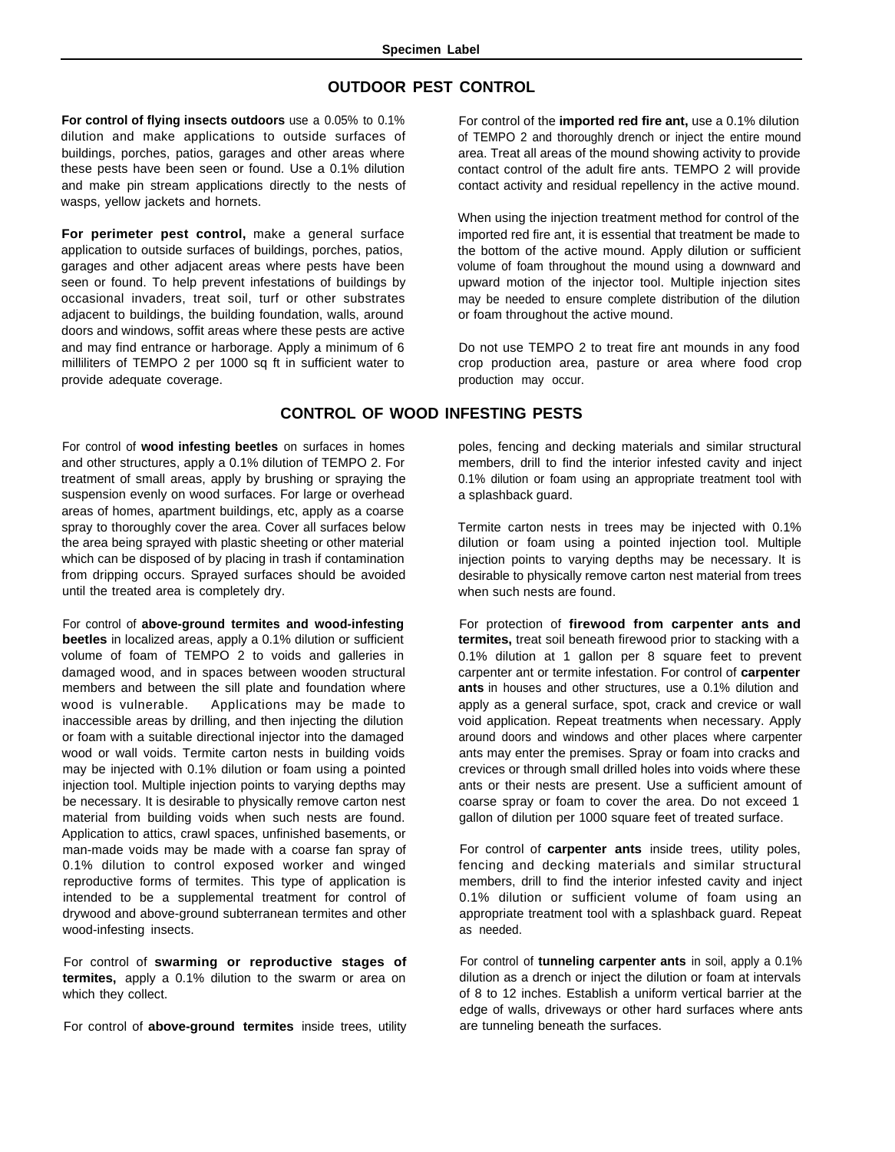#### **OUTDOOR PEST CONTROL**

**For control of flying insects outdoors** use a 0.05% to 0.1% dilution and make applications to outside surfaces of buildings, porches, patios, garages and other areas where these pests have been seen or found. Use a 0.1% dilution and make pin stream applications directly to the nests of wasps, yellow jackets and hornets.

**For perimeter pest control,** make a general surface application to outside surfaces of buildings, porches, patios, garages and other adjacent areas where pests have been seen or found. To help prevent infestations of buildings by occasional invaders, treat soil, turf or other substrates adjacent to buildings, the building foundation, walls, around doors and windows, soffit areas where these pests are active and may find entrance or harborage. Apply a minimum of 6 milliliters of TEMPO 2 per 1000 sq ft in sufficient water to provide adequate coverage.

For control of the **imported red fire ant,** use a 0.1% dilution of TEMPO 2 and thoroughly drench or inject the entire mound area. Treat all areas of the mound showing activity to provide contact control of the adult fire ants. TEMPO 2 will provide contact activity and residual repellency in the active mound.

When using the injection treatment method for control of the imported red fire ant, it is essential that treatment be made to the bottom of the active mound. Apply dilution or sufficient volume of foam throughout the mound using a downward and upward motion of the injector tool. Multiple injection sites may be needed to ensure complete distribution of the dilution or foam throughout the active mound.

Do not use TEMPO 2 to treat fire ant mounds in any food crop production area, pasture or area where food crop production may occur.

#### **CONTROL OF WOOD INFESTING PESTS**

For control of **wood infesting beetles** on surfaces in homes and other structures, apply a 0.1% dilution of TEMPO 2. For treatment of small areas, apply by brushing or spraying the suspension evenly on wood surfaces. For large or overhead areas of homes, apartment buildings, etc, apply as a coarse spray to thoroughly cover the area. Cover all surfaces below the area being sprayed with plastic sheeting or other material which can be disposed of by placing in trash if contamination from dripping occurs. Sprayed surfaces should be avoided until the treated area is completely dry.

For control of **above-ground termites and wood-infesting beetles** in localized areas, apply a 0.1% dilution or sufficient volume of foam of TEMPO 2 to voids and galleries in damaged wood, and in spaces between wooden structural members and between the sill plate and foundation where wood is vulnerable. Applications may be made to inaccessible areas by drilling, and then injecting the dilution or foam with a suitable directional injector into the damaged wood or wall voids. Termite carton nests in building voids may be injected with 0.1% dilution or foam using a pointed injection tool. Multiple injection points to varying depths may be necessary. It is desirable to physically remove carton nest material from building voids when such nests are found. Application to attics, crawl spaces, unfinished basements, or man-made voids may be made with a coarse fan spray of 0.1% dilution to control exposed worker and winged reproductive forms of termites. This type of application is intended to be a supplemental treatment for control of drywood and above-ground subterranean termites and other wood-infesting insects.

For control of **swarming or reproductive stages of termites,** apply a 0.1% dilution to the swarm or area on which they collect.

For control of **above-ground termites** inside trees, utility

poles, fencing and decking materials and similar structural members, drill to find the interior infested cavity and inject 0.1% dilution or foam using an appropriate treatment tool with a splashback guard.

Termite carton nests in trees may be injected with 0.1% dilution or foam using a pointed injection tool. Multiple injection points to varying depths may be necessary. It is desirable to physically remove carton nest material from trees when such nests are found.

For protection of **firewood from carpenter ants and termites,** treat soil beneath firewood prior to stacking with a 0.1% dilution at 1 gallon per 8 square feet to prevent carpenter ant or termite infestation. For control of **carpenter ants** in houses and other structures, use a 0.1% dilution and apply as a general surface, spot, crack and crevice or wall void application. Repeat treatments when necessary. Apply around doors and windows and other places where carpenter ants may enter the premises. Spray or foam into cracks and crevices or through small drilled holes into voids where these ants or their nests are present. Use a sufficient amount of coarse spray or foam to cover the area. Do not exceed 1 gallon of dilution per 1000 square feet of treated surface.

For control of **carpenter ants** inside trees, utility poles, fencing and decking materials and similar structural members, drill to find the interior infested cavity and inject 0.1% dilution or sufficient volume of foam using an appropriate treatment tool with a splashback guard. Repeat as needed.

For control of **tunneling carpenter ants** in soil, apply a 0.1% dilution as a drench or inject the dilution or foam at intervals of 8 to 12 inches. Establish a uniform vertical barrier at the edge of walls, driveways or other hard surfaces where ants are tunneling beneath the surfaces.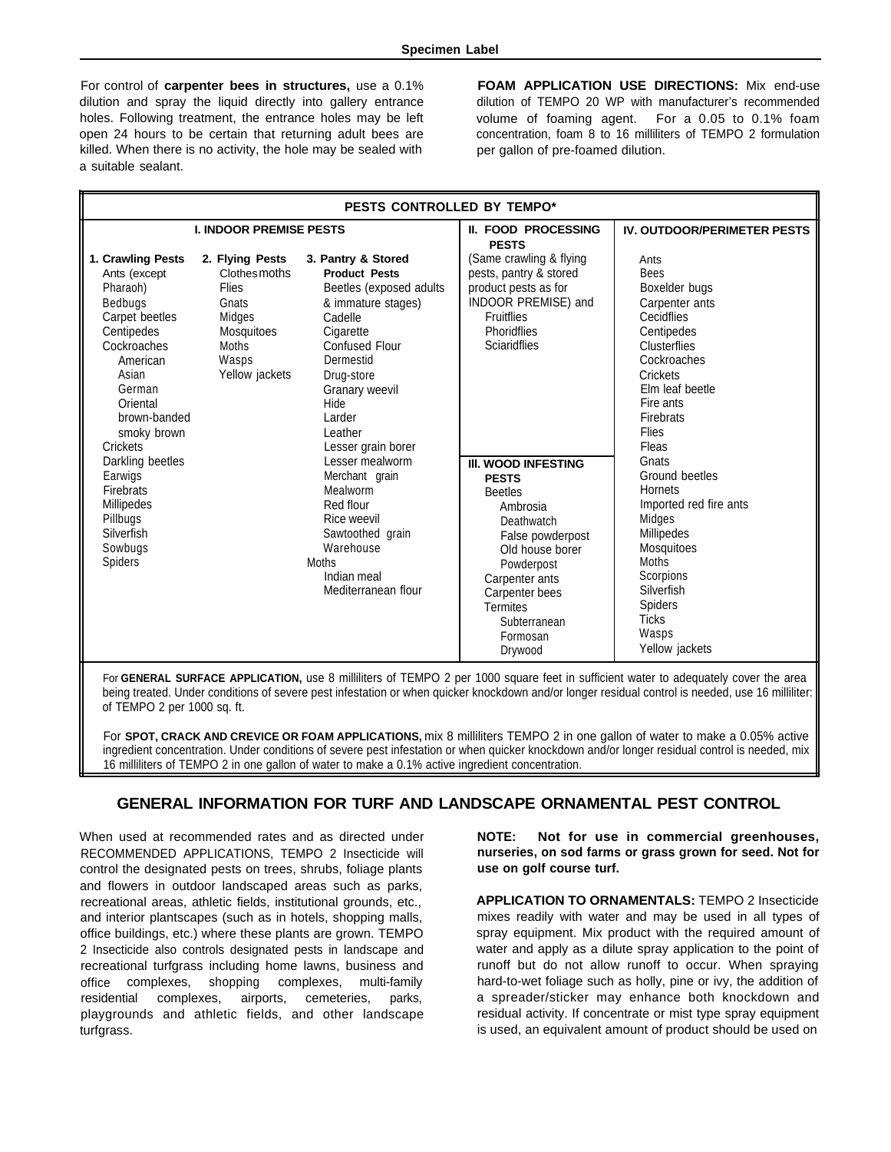For control of **carpenter bees in structures,** use a 0.1% dilution and spray the liquid directly into gallery entrance holes. Following treatment, the entrance holes may be left open 24 hours to be certain that returning adult bees are killed. When there is no activity, the hole may be sealed with a suitable sealant.

**FOAM APPLICATION USE DIRECTIONS:** Mix end-use dilution of TEMPO 20 WP with manufacturer's recommended volume of foaming agent. For a 0.05 to 0.1% foam concentration, foam 8 to 16 milliliters of TEMPO 2 formulation per gallon of pre-foamed dilution.

| PESTS CONTROLLED BY TEMPO*                                                                                                                                                                    |                                                                                                               |                                                                                                                                                                                                                                                                                                                                                                                                                   |                                                                                                                                                                                                                                           |                                                                                                                                                                                                                   |  |
|-----------------------------------------------------------------------------------------------------------------------------------------------------------------------------------------------|---------------------------------------------------------------------------------------------------------------|-------------------------------------------------------------------------------------------------------------------------------------------------------------------------------------------------------------------------------------------------------------------------------------------------------------------------------------------------------------------------------------------------------------------|-------------------------------------------------------------------------------------------------------------------------------------------------------------------------------------------------------------------------------------------|-------------------------------------------------------------------------------------------------------------------------------------------------------------------------------------------------------------------|--|
| <b>I. INDOOR PREMISE PESTS</b>                                                                                                                                                                |                                                                                                               |                                                                                                                                                                                                                                                                                                                                                                                                                   | <b>II. FOOD PROCESSING</b>                                                                                                                                                                                                                | <b>IV. OUTDOOR/PERIMETER PESTS</b>                                                                                                                                                                                |  |
| 1. Crawling Pests<br>Ants (except<br>Pharaoh)<br>Bedbugs<br>Carpet beetles<br>Centipedes<br>Cockroaches<br>American<br>Asian<br>German<br>Oriental<br>brown-banded<br>smoky brown<br>Crickets | 2. Flying Pests<br>Clothesmoths<br>Flies<br>Gnats<br>Midges<br>Mosquitoes<br>Moths<br>Wasps<br>Yellow jackets | 3. Pantry & Stored<br><b>Product Pests</b><br>Beetles (exposed adults)<br>& immature stages)<br>Cadelle<br>Cigarette<br><b>Confused Flour</b><br>Dermestid<br>Drug-store<br>Granary weevil<br><b>Hide</b><br>Larder<br>Leather<br>Lesser grain borer<br>Lesser mealworm<br>Merchant grain<br>Mealworm<br>Red flour<br>Rice weevil<br>Sawtoothed grain<br>Warehouse<br>Moths<br>Indian meal<br>Mediterranean flour | <b>PESTS</b><br>(Same crawling & flying<br>pests, pantry & stored<br>product pests as for<br>INDOOR PREMISE) and<br><b>Fruitflies</b><br>Phoridflies<br><b>Sciaridflies</b>                                                               | Ants<br><b>Bees</b><br>Boxelder bugs<br>Carpenter ants<br>Cecidflies<br>Centipedes<br>Clusterflies<br>Cockroaches<br>Crickets<br>Elm leaf beetle<br>Fire ants<br>Firebrats<br>Flies<br>Fleas                      |  |
| Darkling beetles<br>Earwigs<br><b>Firebrats</b><br><b>Millipedes</b><br>Pillbugs<br>Silverfish<br>Sowbugs<br>Spiders                                                                          |                                                                                                               |                                                                                                                                                                                                                                                                                                                                                                                                                   | <b>III. WOOD INFESTING</b><br><b>PESTS</b><br><b>Beetles</b><br>Ambrosia<br>Deathwatch<br>False powderpost<br>Old house borer<br>Powderpost<br>Carpenter ants<br>Carpenter bees<br><b>Termites</b><br>Subterranean<br>Formosan<br>Drywood | Gnats<br>Ground beetles<br><b>Hornets</b><br>Imported red fire ants<br>Midges<br><b>Millipedes</b><br>Mosquitoes<br><b>Moths</b><br>Scorpions<br>Silverfish<br>Spiders<br><b>Ticks</b><br>Wasps<br>Yellow jackets |  |

For **GENERAL SURFACE APPLICATION,** use 8 milliliters of TEMPO 2 per 1000 square feet in sufficient water to adequately cover the area being treated. Under conditions of severe pest infestation or when quicker knockdown and/or longer residual control is needed, use 16 milliliter: of TEMPO 2 per 1000 sq. ft.

For **SPOT, CRACK AND CREVICE OR FOAM APPLICATIONS,** mix 8 milliliters TEMPO 2 in one gallon of water to make a 0.05% active ingredient concentration. Under conditions of severe pest infestation or when quicker knockdown and/or longer residual control is needed, mix 16 milliliters of TEMPO 2 in one gallon of water to make a 0.1% active ingredient concentration.

#### **GENERAL INFORMATION FOR TURF AND LANDSCAPE ORNAMENTAL PEST CONTROL**

When used at recommended rates and as directed under RECOMMENDED APPLICATIONS, TEMPO 2 Insecticide will control the designated pests on trees, shrubs, foliage plants and flowers in outdoor landscaped areas such as parks, recreational areas, athletic fields, institutional grounds, etc., and interior plantscapes (such as in hotels, shopping malls, office buildings, etc.) where these plants are grown. TEMPO 2 Insecticide also controls designated pests in landscape and recreational turfgrass including home lawns, business and office complexes, shopping complexes, multi-family residential complexes, airports, cemeteries, parks, playgrounds and athletic fields, and other landscape turfgrass.

**NOTE: Not for use in commercial greenhouses, nurseries, on sod farms or grass grown for seed. Not for use on golf course turf.**

**APPLICATION TO ORNAMENTALS:** TEMPO 2 Insecticide mixes readily with water and may be used in all types of spray equipment. Mix product with the required amount of water and apply as a dilute spray application to the point of runoff but do not allow runoff to occur. When spraying hard-to-wet foliage such as holly, pine or ivy, the addition of a spreader/sticker may enhance both knockdown and residual activity. If concentrate or mist type spray equipment is used, an equivalent amount of product should be used on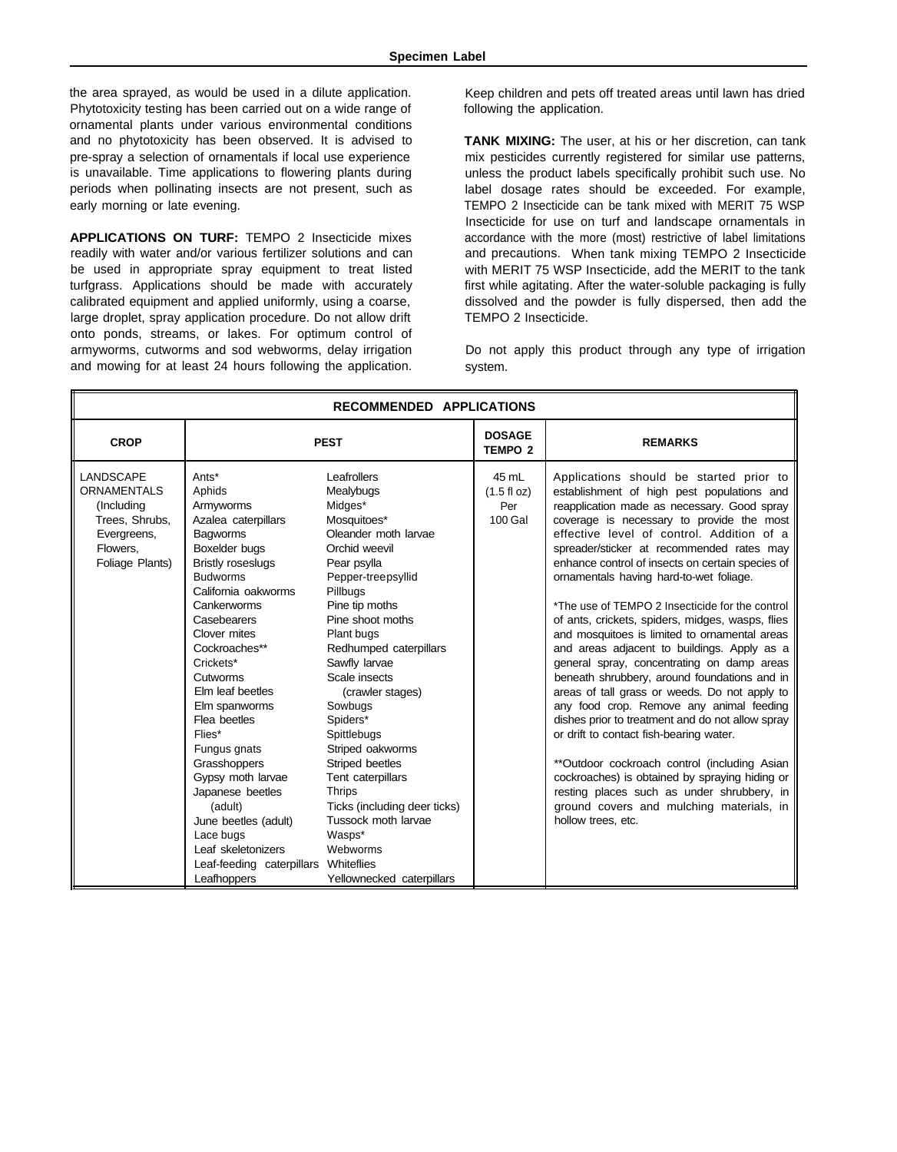the area sprayed, as would be used in a dilute application. Phytotoxicity testing has been carried out on a wide range of ornamental plants under various environmental conditions and no phytotoxicity has been observed. It is advised to pre-spray a selection of ornamentals if local use experience is unavailable. Time applications to flowering plants during periods when pollinating insects are not present, such as early morning or late evening.

**APPLICATIONS ON TURF:** TEMPO 2 Insecticide mixes readily with water and/or various fertilizer solutions and can be used in appropriate spray equipment to treat listed turfgrass. Applications should be made with accurately calibrated equipment and applied uniformly, using a coarse, large droplet, spray application procedure. Do not allow drift onto ponds, streams, or lakes. For optimum control of armyworms, cutworms and sod webworms, delay irrigation and mowing for at least 24 hours following the application. system.

Keep children and pets off treated areas until lawn has dried following the application.

**TANK MIXING:** The user, at his or her discretion, can tank mix pesticides currently registered for similar use patterns, unless the product labels specifically prohibit such use. No label dosage rates should be exceeded. For example, TEMPO 2 Insecticide can be tank mixed with MERIT 75 WSP Insecticide for use on turf and landscape ornamentals in accordance with the more (most) restrictive of label limitations and precautions. When tank mixing TEMPO 2 Insecticide with MERIT 75 WSP Insecticide, add the MERIT to the tank first while agitating. After the water-soluble packaging is fully dissolved and the powder is fully dispersed, then add the TEMPO 2 Insecticide.

Do not apply this product through any type of irrigation

| RECOMMENDED APPLICATIONS                                                                               |                                                                                                                                                                                                                                                                                                                                                                                                                                                                                                                            |                                                                                                                                                                                                                                                                                                                                                                                                                                                                                                               |                                                  |                                                                                                                                                                                                                                                                                                                                                                                                                                                                                                                                                                                                                                                                                                                                                                                                                                                                                                                                                                                                                                                                                               |  |
|--------------------------------------------------------------------------------------------------------|----------------------------------------------------------------------------------------------------------------------------------------------------------------------------------------------------------------------------------------------------------------------------------------------------------------------------------------------------------------------------------------------------------------------------------------------------------------------------------------------------------------------------|---------------------------------------------------------------------------------------------------------------------------------------------------------------------------------------------------------------------------------------------------------------------------------------------------------------------------------------------------------------------------------------------------------------------------------------------------------------------------------------------------------------|--------------------------------------------------|-----------------------------------------------------------------------------------------------------------------------------------------------------------------------------------------------------------------------------------------------------------------------------------------------------------------------------------------------------------------------------------------------------------------------------------------------------------------------------------------------------------------------------------------------------------------------------------------------------------------------------------------------------------------------------------------------------------------------------------------------------------------------------------------------------------------------------------------------------------------------------------------------------------------------------------------------------------------------------------------------------------------------------------------------------------------------------------------------|--|
| <b>CROP</b>                                                                                            | <b>PEST</b>                                                                                                                                                                                                                                                                                                                                                                                                                                                                                                                |                                                                                                                                                                                                                                                                                                                                                                                                                                                                                                               | <b>DOSAGE</b><br><b>TEMPO 2</b>                  | <b>REMARKS</b>                                                                                                                                                                                                                                                                                                                                                                                                                                                                                                                                                                                                                                                                                                                                                                                                                                                                                                                                                                                                                                                                                |  |
| LANDSCAPE<br>ORNAMENTALS<br>(Including<br>Trees, Shrubs,<br>Evergreens,<br>Flowers.<br>Foliage Plants) | Ants*<br>Aphids<br>Armyworms<br>Azalea caterpillars<br><b>Bagworms</b><br>Boxelder bugs<br><b>Bristly roseslugs</b><br><b>Budworms</b><br>California oakworms<br>Cankerworms<br>Casebearers<br>Clover mites<br>Cockroaches**<br>Crickets*<br>Cutworms<br>Elm leaf beetles<br>Elm spanworms<br>Flea beetles<br>Flies*<br>Fungus gnats<br>Grasshoppers<br>Gypsy moth larvae<br>Japanese beetles<br>(adult)<br>June beetles (adult)<br>Lace bugs<br>Leaf skeletonizers<br>Leaf-feeding caterpillars Whiteflies<br>Leafhoppers | Leafrollers<br>Mealybugs<br>Midges*<br>Mosquitoes*<br>Oleander moth larvae<br>Orchid weevil<br>Pear psylla<br>Pepper-treepsyllid<br>Pillbugs<br>Pine tip moths<br>Pine shoot moths<br>Plant bugs<br>Redhumped caterpillars<br>Sawfly larvae<br>Scale insects<br>(crawler stages)<br>Sowbugs<br>Spiders*<br>Spittlebugs<br>Striped oakworms<br>Striped beetles<br>Tent caterpillars<br><b>Thrips</b><br>Ticks (including deer ticks)<br>Tussock moth larvae<br>Wasps*<br>Webworms<br>Yellownecked caterpillars | 45 mL<br>$(1.5 \text{ fl oz})$<br>Per<br>100 Gal | Applications should be started prior to<br>establishment of high pest populations and<br>reapplication made as necessary. Good spray<br>coverage is necessary to provide the most<br>effective level of control. Addition of a<br>spreader/sticker at recommended rates may<br>enhance control of insects on certain species of<br>ornamentals having hard-to-wet foliage.<br>*The use of TEMPO 2 Insecticide for the control<br>of ants, crickets, spiders, midges, wasps, flies<br>and mosquitoes is limited to ornamental areas<br>and areas adjacent to buildings. Apply as a<br>general spray, concentrating on damp areas<br>beneath shrubbery, around foundations and in<br>areas of tall grass or weeds. Do not apply to<br>any food crop. Remove any animal feeding<br>dishes prior to treatment and do not allow spray<br>or drift to contact fish-bearing water.<br>**Outdoor cockroach control (including Asian<br>cockroaches) is obtained by spraying hiding or<br>resting places such as under shrubbery, in<br>ground covers and mulching materials, in<br>hollow trees, etc. |  |